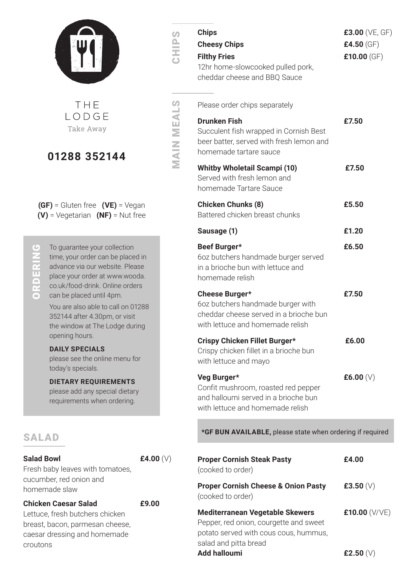

S<br>C

MAIN MEALS

**MAIN MEALS** 

THE  $IOPGE$ Take Away

#### **01288 352144**

**(GF)** = Gluten free **(VE)** = Vegan **(V)** = Vegetarian **(NF)** = Nut free

 $\overline{c}$ n ORD<br>O

To guarantee your collection time, your order can be placed in advance via our website. Please place your order at www.wooda. co.uk/food-drink. Online orders can be placed until 4pm.

You are also able to call on 01288 352144 after 4.30pm, or visit the window at The Lodge during opening hours.

#### **DAILY SPECIALS**

please see the online menu for today's specials.

#### **DIETARY REQUIREMENTS**

please add any special dietary requirements when ordering.

#### SALAD

#### **Salad Bowl £4.00** (V)

Fresh baby leaves with tomatoes, cucumber, red onion and homemade slaw

**Chicken Caesar Salad £9.00**

Lettuce, fresh butchers chicken breast, bacon, parmesan cheese, caesar dressing and homemade croutons

| <b>Chips</b><br><b>Cheesy Chips</b><br><b>Filthy Fries</b><br>12hr home-slowcooked pulled pork,<br>cheddar cheese and BBQ Sauce          | £3.00 (VE, GF)<br>£4.50 $(GF)$<br>£10.00 $(GF)$ |
|------------------------------------------------------------------------------------------------------------------------------------------|-------------------------------------------------|
| Please order chips separately                                                                                                            |                                                 |
| <b>Drunken Fish</b><br>Succulent fish wrapped in Cornish Best<br>beer batter, served with fresh lemon and<br>homemade tartare sauce      | £7.50                                           |
| <b>Whitby Wholetail Scampi (10)</b><br>Served with fresh lemon and<br>homemade Tartare Sauce                                             | £7.50                                           |
| <b>Chicken Chunks (8)</b><br>Battered chicken breast chunks                                                                              | £5.50                                           |
| Sausage (1)                                                                                                                              | £1.20                                           |
| Beef Burger*<br>6oz butchers handmade burger served<br>in a brioche bun with lettuce and<br>homemade relish                              | £6.50                                           |
| <b>Cheese Burger*</b><br>6oz butchers handmade burger with<br>cheddar cheese served in a brioche bun<br>with lettuce and homemade relish | £7.50                                           |
| Crispy Chicken Fillet Burger*<br>Crispy chicken fillet in a brioche bun<br>with lettuce and mayo                                         | £6.00                                           |
| Veg Burger*<br>Confit mushroom, roasted red pepper<br>and halloumi served in a brioche bun<br>with lettuce and homemade relish           | £6.00 $(V)$                                     |

**\*GF BUN AVAILABLE,** please state when ordering if required

| <b>Proper Cornish Steak Pasty</b><br>(cooked to order)                                                                                             | £4.00           |
|----------------------------------------------------------------------------------------------------------------------------------------------------|-----------------|
| <b>Proper Cornish Cheese &amp; Onion Pasty</b><br>(cooked to order)                                                                                | £3.50 $(V)$     |
| <b>Mediterranean Vegetable Skewers</b><br>Pepper, red onion, courgette and sweet<br>potato served with cous cous, hummus,<br>salad and pitta bread | £10.00 $(V/VE)$ |
| <b>Add halloumi</b>                                                                                                                                | £2.50 $(V)$     |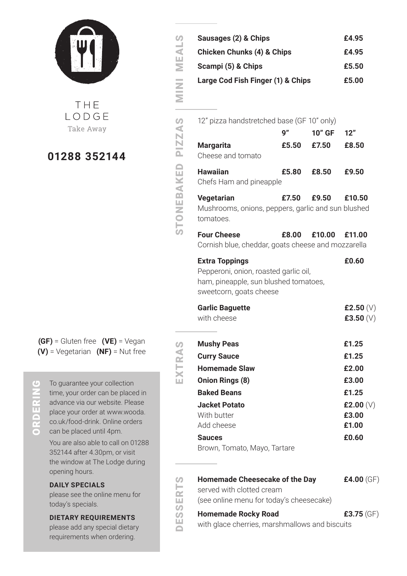

THE  $IOPGE$ Take Away

#### **01288 352144**

**(GF)** = Gluten free **(VE)** = Vegan **(V)** = Vegetarian **(NF)** = Nut free

## $\overline{\mathbf{C}}$ 'n

To guarantee your collection time, your order can be placed in advance via our website. Please place your order at www.wooda. co.uk/food-drink. Online orders can be placed until 4pm.

You are also able to call on 01288 352144 after 4.30pm, or visit the window at The Lodge during opening hours.

#### **DAILY SPECIALS**

please see the online menu for today's specials.

#### **DIETARY REQUIREMENTS**

please add any special dietary requirements when ordering.

| Sausages (2) & Chips                  | £4.95 |
|---------------------------------------|-------|
| <b>Chicken Chunks (4) &amp; Chips</b> | £4.95 |
| Scampi (5) & Chips                    | £5.50 |
| Large Cod Fish Finger (1) & Chips     | £5.00 |

| 12" pizza handstretched base (GF 10" only)                                           |       |                     |        |
|--------------------------------------------------------------------------------------|-------|---------------------|--------|
|                                                                                      | 9"    | <b>10" GF</b>       | 12"    |
| <b>Margarita</b><br>Cheese and tomato                                                | £5.50 | £7.50               | £8.50  |
| <b>Hawaiian</b><br>Chefs Ham and pineapple                                           | £5.80 | £8.50               | £9.50  |
| <b>Vegetarian</b><br>Mushrooms, onions, peppers, garlic and sun blushed<br>tomatoes. | £7.50 | £9.50               | £10.50 |
| <b>Four Cheese</b><br>Cornish blue, cheddar, goats cheese and mozzarella             |       | £8.00 £10.00 £11.00 |        |
| <b>Extra Toppings</b><br>Depperani episp resetad gerlie eil                          |       |                     | £0.60  |

Pepperoni, onion, roasted garlic oil, ham, pineapple, sun blushed tomatoes, sweetcorn, goats cheese

| <b>Garlic Baguette</b> | £2.50 $(V)$ |
|------------------------|-------------|
| with cheese            | £3.50 $(V)$ |

| <b>Mushy Peas</b>            | £1.25       |
|------------------------------|-------------|
| <b>Curry Sauce</b>           | £1.25       |
| <b>Homemade Slaw</b>         | £2.00       |
| Onion Rings (8)              | £3.00       |
| <b>Baked Beans</b>           | £1.25       |
| Jacket Potato                | £2.00 $(V)$ |
| With butter                  | £3.00       |
| Add cheese                   | £1.00       |
| <b>Sauces</b>                | £0.60       |
| Brown, Tomato, Mayo, Tartare |             |

**Homemade Cheesecake of the Day £4.00** (GF) served with clotted cream

**Homemade Rocky Road E3.75** (GF)

(see online menu for today's cheesecake)

DESSERTS ESSERT

 $\overline{\square}$ 

5

EXTRAS

TRAS

MINI MEALS

**MINI MEALS** 

STONEBAKED PIZZAS

STONEBAKED PIZZAS

with glace cherries, marshmallows and biscuits